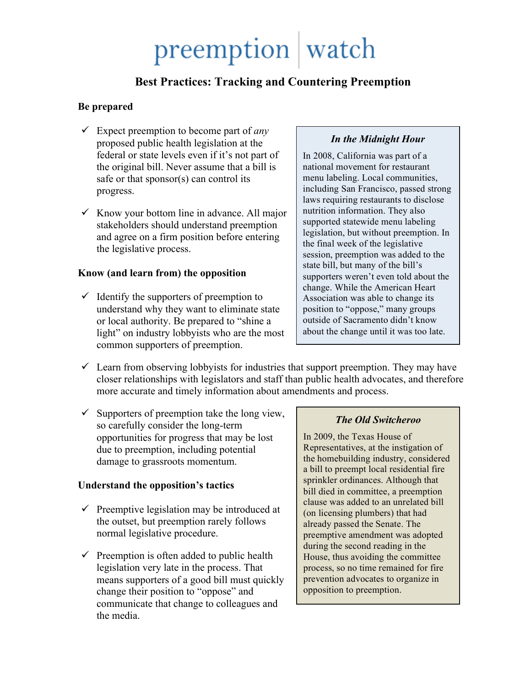# preemption watch

## **Best Practices: Tracking and Countering Preemption**

#### **Be prepared**

- Expect preemption to become part of *any* proposed public health legislation at the federal or state levels even if it's not part of the original bill. Never assume that a bill is safe or that sponsor(s) can control its progress.
- $\checkmark$  Know your bottom line in advance. All major stakeholders should understand preemption and agree on a firm position before entering the legislative process.

#### **Know (and learn from) the opposition**

 $\checkmark$  Identify the supporters of preemption to understand why they want to eliminate state or local authority. Be prepared to "shine a light" on industry lobbyists who are the most common supporters of preemption.

### *In the Midnight Hour*

In 2008, California was part of a national movement for restaurant menu labeling. Local communities, including San Francisco, passed strong laws requiring restaurants to disclose nutrition information. They also supported statewide menu labeling legislation, but without preemption. In the final week of the legislative session, preemption was added to the state bill, but many of the bill's supporters weren't even told about the change. While the American Heart Association was able to change its position to "oppose," many groups outside of Sacramento didn't know about the change until it was too late.

- $\checkmark$  Learn from observing lobbyists for industries that support preemption. They may have closer relationships with legislators and staff than public health advocates, and therefore more accurate and timely information about amendments and process.
- $\checkmark$  Supporters of preemption take the long view, so carefully consider the long-term opportunities for progress that may be lost due to preemption, including potential damage to grassroots momentum.

### **Understand the opposition's tactics**

- $\checkmark$  Preemptive legislation may be introduced at the outset, but preemption rarely follows normal legislative procedure.
- $\checkmark$  Preemption is often added to public health legislation very late in the process. That means supporters of a good bill must quickly change their position to "oppose" and communicate that change to colleagues and the media.

### *The Old Switcheroo*

In 2009, the Texas House of Representatives, at the instigation of the homebuilding industry, considered a bill to preempt local residential fire sprinkler ordinances. Although that bill died in committee, a preemption clause was added to an unrelated bill (on licensing plumbers) that had already passed the Senate. The preemptive amendment was adopted during the second reading in the House, thus avoiding the committee process, so no time remained for fire prevention advocates to organize in opposition to preemption.